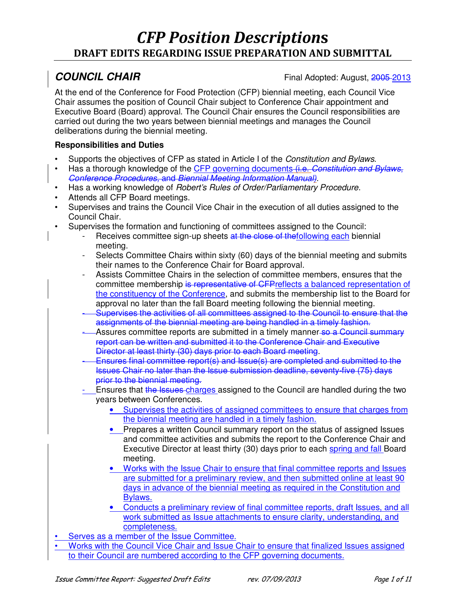**COUNCIL CHAIR** Final Adopted: August, 2005 2013

At the end of the Conference for Food Protection (CFP) biennial meeting, each Council Vice Chair assumes the position of Council Chair subject to Conference Chair appointment and Executive Board (Board) approval. The Council Chair ensures the Council responsibilities are carried out during the two years between biennial meetings and manages the Council deliberations during the biennial meeting.

- Supports the objectives of CFP as stated in Article I of the *Constitution and Bylaws*.
- Has a thorough knowledge of the CFP governing documents (i.e. *Constitution and Bylaws*, *Conference Procedures,* and *Biennial Meeting Information Manual).*
- Has a working knowledge of *Robert's Rules of Order/Parliamentary Procedure*.
- Attends all CFP Board meetings.
- Supervises and trains the Council Vice Chair in the execution of all duties assigned to the Council Chair.
- Supervises the formation and functioning of committees assigned to the Council:
	- Receives committee sign-up sheets at the close of thefollowing each biennial meeting.
	- Selects Committee Chairs within sixty (60) days of the biennial meeting and submits their names to the Conference Chair for Board approval.
	- Assists Committee Chairs in the selection of committee members, ensures that the committee membership is representative of CFPreflects a balanced representation of the constituency of the Conference, and submits the membership list to the Board for approval no later than the fall Board meeting following the biennial meeting.
	- Supervises the activities of all committees assigned to the Council to ensure that the assignments of the biennial meeting are being handled in a timely fashion.
	- Assures committee reports are submitted in a timely manner so a Council summary report can be written and submitted it to the Conference Chair and Executive Director at least thirty (30) days prior to each Board meeting.
	- Ensures final committee report(s) and Issue(s) are completed and submitted to the Issues Chair no later than the Issue submission deadline, seventy-five (75) days prior to the biennial meeting.
	- Ensures that the Issues-charges assigned to the Council are handled during the two years between Conferences.
		- Supervises the activities of assigned committees to ensure that charges from the biennial meeting are handled in a timely fashion.
		- Prepares a written Council summary report on the status of assigned Issues and committee activities and submits the report to the Conference Chair and Executive Director at least thirty (30) days prior to each spring and fall Board meeting.
		- Works with the Issue Chair to ensure that final committee reports and Issues are submitted for a preliminary review, and then submitted online at least 90 days in advance of the biennial meeting as required in the Constitution and Bylaws.
		- Conducts a preliminary review of final committee reports, draft Issues, and all work submitted as Issue attachments to ensure clarity, understanding, and completeness.
- Serves as a member of the Issue Committee.
- Works with the Council Vice Chair and Issue Chair to ensure that finalized Issues assigned to their Council are numbered according to the CFP governing documents.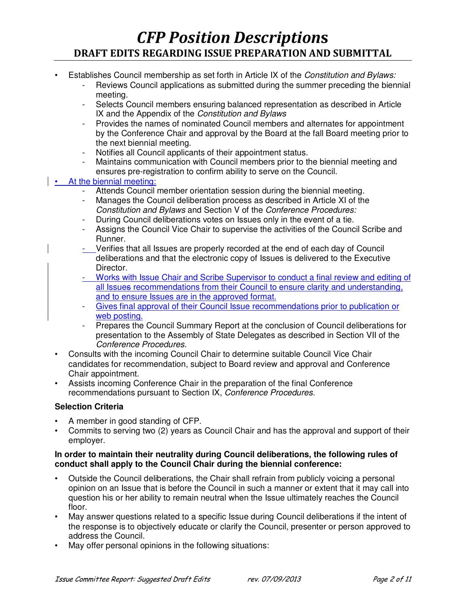- Establishes Council membership as set forth in Article IX of the *Constitution and Bylaws:*
	- Reviews Council applications as submitted during the summer preceding the biennial meeting.
	- Selects Council members ensuring balanced representation as described in Article IX and the Appendix of the *Constitution and Bylaws*
	- Provides the names of nominated Council members and alternates for appointment by the Conference Chair and approval by the Board at the fall Board meeting prior to the next biennial meeting.
	- Notifies all Council applicants of their appointment status.
	- Maintains communication with Council members prior to the biennial meeting and ensures pre-registration to confirm ability to serve on the Council.

### • At the biennial meeting:

- Attends Council member orientation session during the biennial meeting.
- Manages the Council deliberation process as described in Article XI of the *Constitution and Bylaws* and Section V of the *Conference Procedures:*
- During Council deliberations votes on Issues only in the event of a tie.
- Assigns the Council Vice Chair to supervise the activities of the Council Scribe and Runner.
- Verifies that all Issues are properly recorded at the end of each day of Council deliberations and that the electronic copy of Issues is delivered to the Executive Director.
- Works with Issue Chair and Scribe Supervisor to conduct a final review and editing of all Issues recommendations from their Council to ensure clarity and understanding, and to ensure Issues are in the approved format.
- Gives final approval of their Council Issue recommendations prior to publication or web posting.
- Prepares the Council Summary Report at the conclusion of Council deliberations for presentation to the Assembly of State Delegates as described in Section VII of the *Conference Procedures.*
- Consults with the incoming Council Chair to determine suitable Council Vice Chair candidates for recommendation, subject to Board review and approval and Conference Chair appointment.
- Assists incoming Conference Chair in the preparation of the final Conference recommendations pursuant to Section IX, *Conference Procedures.*

#### **Selection Criteria**

- A member in good standing of CFP.
- Commits to serving two (2) years as Council Chair and has the approval and support of their employer.

#### **In order to maintain their neutrality during Council deliberations, the following rules of conduct shall apply to the Council Chair during the biennial conference:**

- Outside the Council deliberations, the Chair shall refrain from publicly voicing a personal opinion on an Issue that is before the Council in such a manner or extent that it may call into question his or her ability to remain neutral when the Issue ultimately reaches the Council floor.
- May answer questions related to a specific Issue during Council deliberations if the intent of the response is to objectively educate or clarify the Council, presenter or person approved to address the Council.
- May offer personal opinions in the following situations: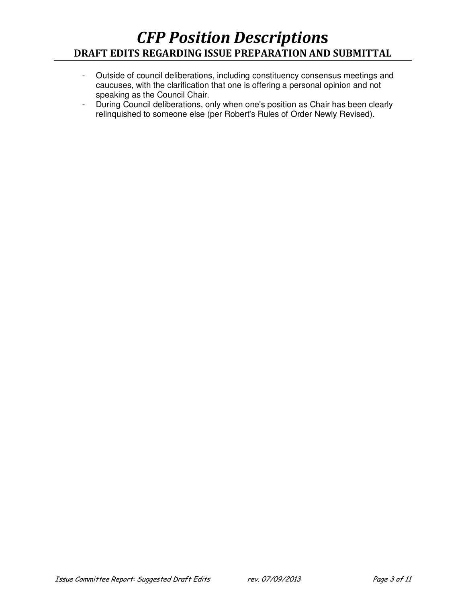- Outside of council deliberations, including constituency consensus meetings and caucuses, with the clarification that one is offering a personal opinion and not speaking as the Council Chair.
- During Council deliberations, only when one's position as Chair has been clearly relinquished to someone else (per Robert's Rules of Order Newly Revised).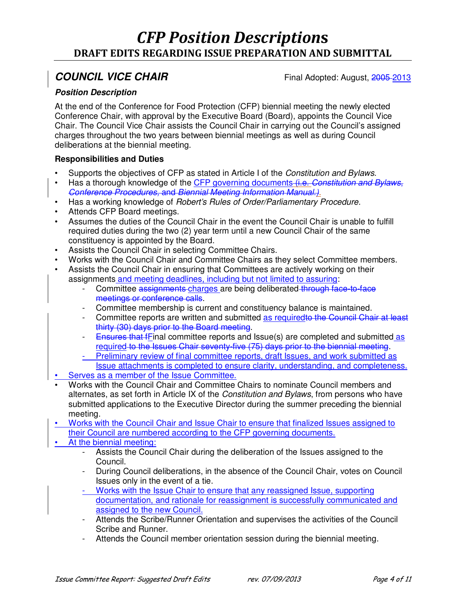**COUNCIL VICE CHAIR**<br>
Final Adopted: August, 2005-2013

### **Position Description**

At the end of the Conference for Food Protection (CFP) biennial meeting the newly elected Conference Chair, with approval by the Executive Board (Board), appoints the Council Vice Chair. The Council Vice Chair assists the Council Chair in carrying out the Council's assigned charges throughout the two years between biennial meetings as well as during Council deliberations at the biennial meeting.

- Supports the objectives of CFP as stated in Article I of the *Constitution and Bylaws.*
- Has a thorough knowledge of the CFP governing documents (i.e. *Constitution and Bylaws*, *Conference Procedures,* and *Biennial Meeting Information Manual.).*
- Has a working knowledge of *Robert's Rules of Order/Parliamentary Procedure*.
- Attends CFP Board meetings.
- Assumes the duties of the Council Chair in the event the Council Chair is unable to fulfill required duties during the two (2) year term until a new Council Chair of the same constituency is appointed by the Board.
- Assists the Council Chair in selecting Committee Chairs.
- Works with the Council Chair and Committee Chairs as they select Committee members.
- Assists the Council Chair in ensuring that Committees are actively working on their assignments and meeting deadlines, including but not limited to assuring:
	- Committee assignments charges are being deliberated through face-to-face meetings or conference calls.
	- Committee membership is current and constituency balance is maintained.
	- Committee reports are written and submitted as requiredto the Council Chair at least thirty (30) days prior to the Board meeting.
	- **Ensures that fFinal committee reports and Issue(s) are completed and submitted as** required to the Issues Chair seventy-five (75) days prior to the biennial meeting.
	- Preliminary review of final committee reports, draft Issues, and work submitted as
	- Issue attachments is completed to ensure clarity, understanding, and completeness. • Serves as a member of the Issue Committee.
- Works with the Council Chair and Committee Chairs to nominate Council members and alternates, as set forth in Article IX of the *Constitution and Bylaws*, from persons who have submitted applications to the Executive Director during the summer preceding the biennial meeting.
- Works with the Council Chair and Issue Chair to ensure that finalized Issues assigned to their Council are numbered according to the CFP governing documents.
- At the biennial meeting:
	- Assists the Council Chair during the deliberation of the Issues assigned to the Council.
	- During Council deliberations, in the absence of the Council Chair, votes on Council Issues only in the event of a tie.
	- Works with the Issue Chair to ensure that any reassigned Issue, supporting documentation, and rationale for reassignment is successfully communicated and assigned to the new Council.
	- Attends the Scribe/Runner Orientation and supervises the activities of the Council Scribe and Runner.
	- Attends the Council member orientation session during the biennial meeting.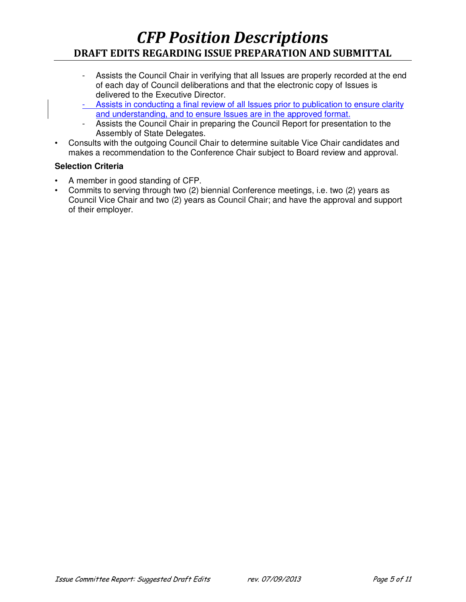- Assists the Council Chair in verifying that all Issues are properly recorded at the end of each day of Council deliberations and that the electronic copy of Issues is delivered to the Executive Director.
- Assists in conducting a final review of all Issues prior to publication to ensure clarity and understanding, and to ensure Issues are in the approved format.
- Assists the Council Chair in preparing the Council Report for presentation to the Assembly of State Delegates.
- Consults with the outgoing Council Chair to determine suitable Vice Chair candidates and makes a recommendation to the Conference Chair subject to Board review and approval.

### **Selection Criteria**

- A member in good standing of CFP.
- Commits to serving through two (2) biennial Conference meetings, i.e. two (2) years as Council Vice Chair and two (2) years as Council Chair; and have the approval and support of their employer.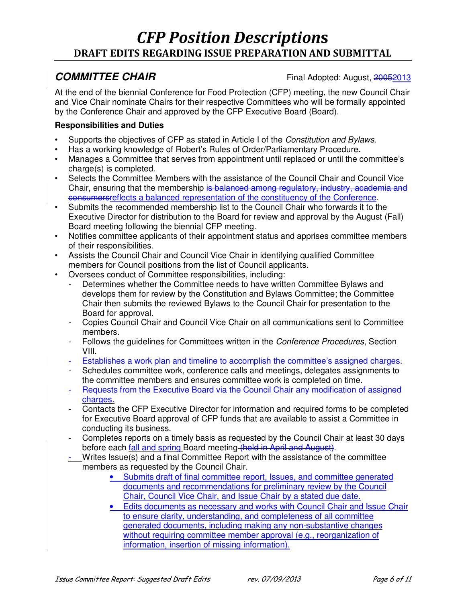**COMMITTEE CHAIR**<br>
Final Adopted: August, 20052013

At the end of the biennial Conference for Food Protection (CFP) meeting, the new Council Chair and Vice Chair nominate Chairs for their respective Committees who will be formally appointed by the Conference Chair and approved by the CFP Executive Board (Board).

- Supports the objectives of CFP as stated in Article I of the *Constitution and Bylaws.*
- Has a working knowledge of Robert's Rules of Order/Parliamentary Procedure.
- Manages a Committee that serves from appointment until replaced or until the committee's charge(s) is completed.
- Selects the Committee Members with the assistance of the Council Chair and Council Vice Chair, ensuring that the membership is balanced among regulatory, industry, academia and consumersreflects a balanced representation of the constituency of the Conference.
- Submits the recommended membership list to the Council Chair who forwards it to the Executive Director for distribution to the Board for review and approval by the August (Fall) Board meeting following the biennial CFP meeting.
- Notifies committee applicants of their appointment status and apprises committee members of their responsibilities.
- Assists the Council Chair and Council Vice Chair in identifying qualified Committee members for Council positions from the list of Council applicants.
- Oversees conduct of Committee responsibilities, including:
	- Determines whether the Committee needs to have written Committee Bylaws and develops them for review by the Constitution and Bylaws Committee; the Committee Chair then submits the reviewed Bylaws to the Council Chair for presentation to the Board for approval.
	- Copies Council Chair and Council Vice Chair on all communications sent to Committee members.
	- Follows the guidelines for Committees written in the *Conference Procedures*, Section VIII.
	- Establishes a work plan and timeline to accomplish the committee's assigned charges.
	- Schedules committee work, conference calls and meetings, delegates assignments to the committee members and ensures committee work is completed on time.
	- Requests from the Executive Board via the Council Chair any modification of assigned charges.
	- Contacts the CFP Executive Director for information and required forms to be completed for Executive Board approval of CFP funds that are available to assist a Committee in conducting its business.
	- Completes reports on a timely basis as requested by the Council Chair at least 30 days before each fall and spring Board meeting (held in April and August).
	- Writes Issue(s) and a final Committee Report with the assistance of the committee members as requested by the Council Chair.
		- Submits draft of final committee report, Issues, and committee generated documents and recommendations for preliminary review by the Council Chair, Council Vice Chair, and Issue Chair by a stated due date.
		- Edits documents as necessary and works with Council Chair and Issue Chair to ensure clarity, understanding, and completeness of all committee generated documents, including making any non-substantive changes without requiring committee member approval (e.g., reorganization of information, insertion of missing information).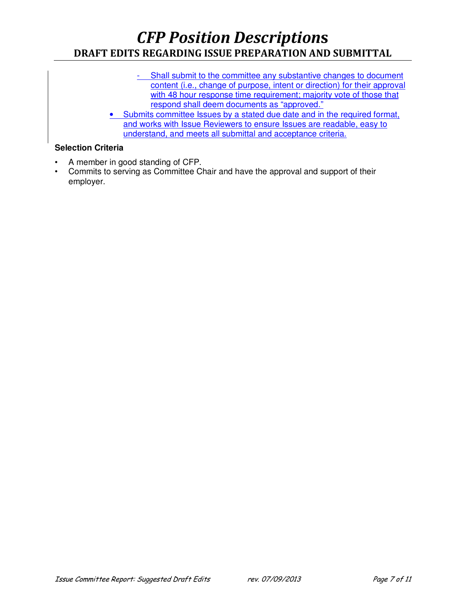- Shall submit to the committee any substantive changes to document content (i.e., change of purpose, intent or direction) for their approval with 48 hour response time requirement; majority vote of those that respond shall deem documents as "approved."
- Submits committee Issues by a stated due date and in the required format, and works with Issue Reviewers to ensure Issues are readable, easy to understand, and meets all submittal and acceptance criteria.

### **Selection Criteria**

- A member in good standing of CFP.
- Commits to serving as Committee Chair and have the approval and support of their employer.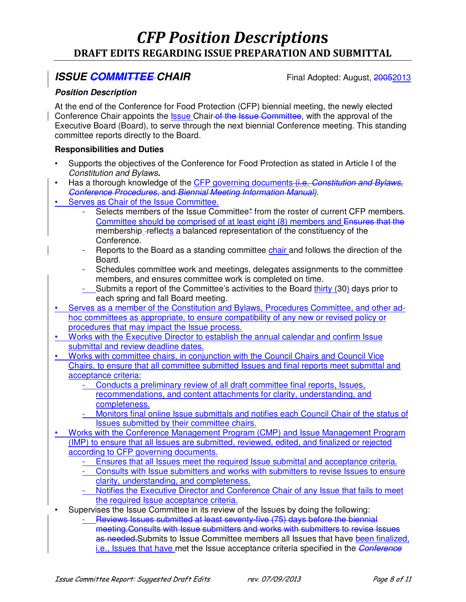### **ISSUE COMMITTEE CHAIR** *COMMITTEE* CHAIR

### **Position Description**

At the end of the Conference for Food Protection (CFP) biennial meeting, the newly elected Conference Chair appoints the *Issue Chair of the Issue Committee*, with the approval of the Executive Board (Board), to serve through the next biennial Conference meeting. This standing committee reports directly to the Board.

- Supports the objectives of the Conference for Food Protection as stated in Article I of the *Constitution and Bylaws***.**
- Has a thorough knowledge of the CFP governing documents (i.e. *Constitution and Bylaws*, *Conference Procedures,* and *Biennial Meeting Information Manual).*
- Serves as Chair of the Issue Committee.
	- Selects members of the Issue Committee\* from the roster of current CFP members. Committee should be comprised of at least eight (8) members and Ensures that the membership -reflects a balanced representation of the constituency of the Conference.
	- Reports to the Board as a standing committee chair and follows the direction of the Board.
	- Schedules committee work and meetings, delegates assignments to the committee members, and ensures committee work is completed on time.
	- Submits a report of the Committee's activities to the Board thirty (30) days prior to each spring and fall Board meeting.
- Serves as a member of the Constitution and Bylaws, Procedures Committee, and other adhoc committees as appropriate, to ensure compatibility of any new or revised policy or procedures that may impact the Issue process.
- Works with the Executive Director to establish the annual calendar and confirm Issue submittal and review deadline dates.
- Works with committee chairs, in conjunction with the Council Chairs and Council Vice Chairs, to ensure that all committee submitted Issues and final reports meet submittal and acceptance criteria:
	- Conducts a preliminary review of all draft committee final reports, Issues, recommendations, and content attachments for clarity, understanding, and completeness.
	- Monitors final online Issue submittals and notifies each Council Chair of the status of Issues submitted by their committee chairs.
- Works with the Conference Management Program (CMP) and Issue Management Program (IMP) to ensure that all Issues are submitted, reviewed, edited, and finalized or rejected according to CFP governing documents.
	- Ensures that all Issues meet the required Issue submittal and acceptance criteria.
	- Consults with Issue submitters and works with submitters to revise Issues to ensure clarity, understanding, and completeness.
	- Notifies the Executive Director and Conference Chair of any Issue that fails to meet the required Issue acceptance criteria.
- Supervises the Issue Committee in its review of the Issues by doing the following:
	- Reviews Issues submitted at least seventy-five (75) days before the biennial meeting.Consults with Issue submitters and works with submitters to revise Issues as needed. Submits to Issue Committee members all Issues that have been finalized, i.e., Issues that have met the Issue acceptance criteria specified in the *Conference*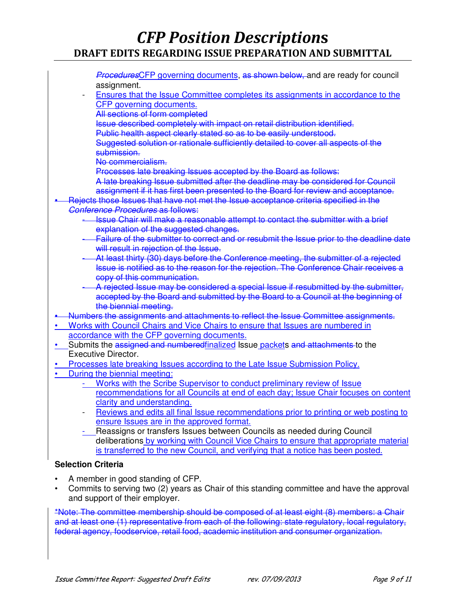*Procedures*CFP governing documents, as shown below, and are ready for council assignment.

- Ensures that the Issue Committee completes its assignments in accordance to the CFP governing documents.
	- All sections of form completed

Issue described completely with impact on retail distribution identified.

Public health aspect clearly stated so as to be easily understood.

Suggested solution or rationale sufficiently detailed to cover all aspects of the submission.

No commercialism.

Processes late breaking Issues accepted by the Board as follows:

- A late breaking Issue submitted after the deadline may be considered for Council assignment if it has first been presented to the Board for review and acceptance.
- Rejects those Issues that have not met the Issue acceptance criteria specified in the *Conference Procedures* as follows:
	- Issue Chair will make a reasonable attempt to contact the submitter with a brief explanation of the suggested changes.
	- Failure of the submitter to correct and or resubmit the Issue prior to the deadline date will result in rejection of the Issue.
	- At least thirty (30) days before the Conference meeting, the submitter of a rejected Issue is notified as to the reason for the rejection. The Conference Chair receives a copy of this communication.
	- A rejected Issue may be considered a special Issue if resubmitted by the submitter, accepted by the Board and submitted by the Board to a Council at the beginning of the biennial meeting.

• Numbers the assignments and attachments to reflect the Issue Committee assignments.

- Works with Council Chairs and Vice Chairs to ensure that Issues are numbered in accordance with the CFP governing documents.
- Submits the assigned and numberedfinalized Issue packets and attachments to the Executive Director.
- Processes late breaking Issues according to the Late Issue Submission Policy.
- During the biennial meeting:
	- Works with the Scribe Supervisor to conduct preliminary review of Issue recommendations for all Councils at end of each day; Issue Chair focuses on content clarity and understanding.
	- Reviews and edits all final Issue recommendations prior to printing or web posting to ensure Issues are in the approved format.
	- Reassigns or transfers Issues between Councils as needed during Council deliberations by working with Council Vice Chairs to ensure that appropriate material is transferred to the new Council, and verifying that a notice has been posted.

### **Selection Criteria**

- A member in good standing of CFP.
- Commits to serving two (2) years as Chair of this standing committee and have the approval and support of their employer.

\*Note: The committee membership should be composed of at least eight (8) members: a Chair and at least one (1) representative from each of the following: state regulatory, local regulatory, federal agency, foodservice, retail food, academic institution and consumer organization.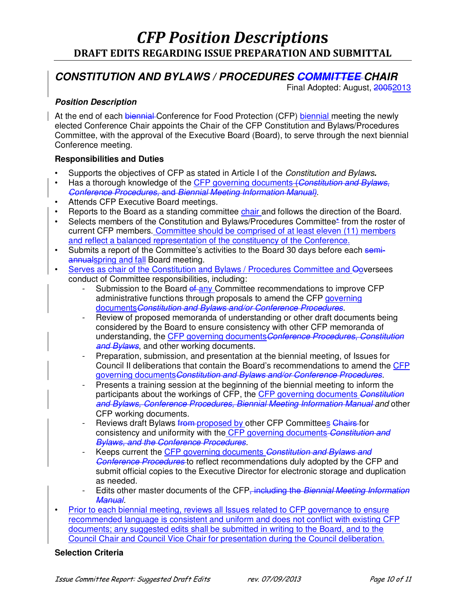### **CONSTITUTION AND BYLAWS / PROCEDURES COMMITTEE CHAIR**

Final Adopted: August, 20052013

### **Position Description**

At the end of each biennial Conference for Food Protection (CFP) biennial meeting the newly elected Conference Chair appoints the Chair of the CFP Constitution and Bylaws/Procedures Committee, with the approval of the Executive Board (Board), to serve through the next biennial Conference meeting.

### **Responsibilities and Duties**

- Supports the objectives of CFP as stated in Article I of the *Constitution and Bylaws***.**
- Has a thorough knowledge of the CFP governing documents (*Constitution and Bylaws*, *Conference Procedures,* and *Biennial Meeting Information Manual).*
- Attends CFP Executive Board meetings.
- Reports to the Board as a standing committee chair and follows the direction of the Board.
- Selects members of the Constitution and Bylaws/Procedures Committee\* from the roster of current CFP members. Committee should be comprised of at least eleven (11) members and reflect a balanced representation of the constituency of the Conference.
- Submits a report of the Committee's activities to the Board 30 days before each semiannualspring and fall Board meeting.
- Serves as chair of the Constitution and Bylaws / Procedures Committee and Ooversees conduct of Committee responsibilities, including:
	- Submission to the Board of any Committee recommendations to improve CFP administrative functions through proposals to amend the CFP governing documents*Constitution and Bylaws and/or Conference Procedures.*
	- Review of proposed memoranda of understanding or other draft documents being considered by the Board to ensure consistency with other CFP memoranda of understanding, the CFP governing documents*Conference Procedures*, *Constitution and Bylaws*, and other working documents.
	- Preparation, submission, and presentation at the biennial meeting, of Issues for Council II deliberations that contain the Board's recommendations to amend the CFP governing documents*Constitution and Bylaws and/or Conference Procedures.*
	- Presents a training session at the beginning of the biennial meeting to inform the participants about the workings of CFP, the CFP governing documents *Constitution and Bylaws, Conference Procedures, Biennial Meeting Information Manual and* other CFP working documents.
	- Reviews draft Bylaws from proposed by other CFP Committees Chairs for consistency and uniformity with the CFP governing documents *Constitution and Bylaws, and the Conference Procedures.*
	- Keeps current the CFP governing documents *Constitution and Bylaws and Conference Procedures* to reflect recommendations duly adopted by the CFP and submit official copies to the Executive Director for electronic storage and duplication as needed.
	- Edits other master documents of the CFP, including the *Biennial Meeting Information Manual.*
- Prior to each biennial meeting, reviews all Issues related to CFP governance to ensure recommended language is consistent and uniform and does not conflict with existing CFP documents; any suggested edits shall be submitted in writing to the Board, and to the Council Chair and Council Vice Chair for presentation during the Council deliberation.

### **Selection Criteria**